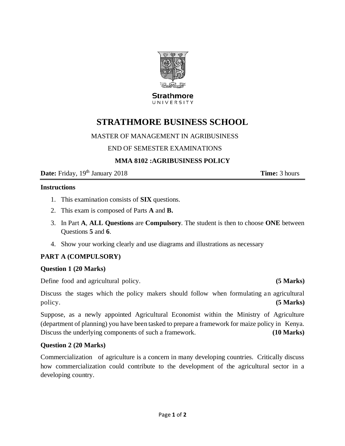

#### **Strathmore** UNIVERSITY

# **STRATHMORE BUSINESS SCHOOL**

## MASTER OF MANAGEMENT IN AGRIBUSINESS

## END OF SEMESTER EXAMINATIONS

## **MMA 8102 :AGRIBUSINESS POLICY**

**Date:** Friday,  $19<sup>th</sup>$  January 2018 **Time:** 3 hours

### **Instructions**

- 1. This examination consists of **SIX** questions.
- 2. This exam is composed of Parts **A** and **B.**
- 3. In Part **A**, **ALL Questions** are **Compulsory**. The student is then to choose **ONE** between Questions **5** and **6**.
- 4. Show your working clearly and use diagrams and illustrations as necessary

## **PART A (COMPULSORY)**

#### **Question 1 (20 Marks)**

Define food and agricultural policy. **(5 Marks)**

Discuss the stages which the policy makers should follow when formulating an agricultural policy. **(5 Marks)**

Suppose, as a newly appointed Agricultural Economist within the Ministry of Agriculture (department of planning) you have been tasked to prepare a framework for maize policy in Kenya. Discuss the underlying components of such a framework. **(10 Marks)**

## **Question 2 (20 Marks)**

Commercialization of agriculture is a concern in many developing countries. Critically discuss how commercialization could contribute to the development of the agricultural sector in a developing country.